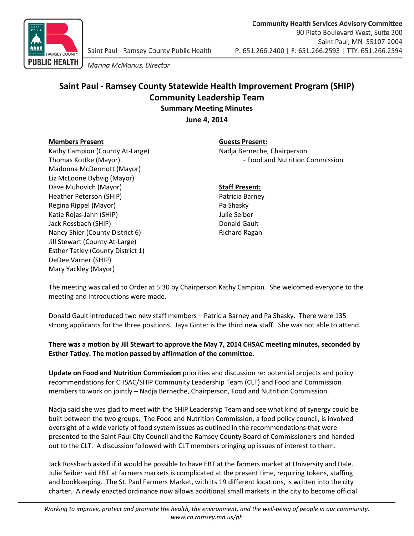

Marina McManus, Director

## **Saint Paul - Ramsey County Statewide Health Improvement Program (SHIP) Community Leadership Team Summary Meeting Minutes**

**June 4, 2014**

### **Members Present Guests Present:**

Kathy Campion (County At-Large) Madja Berneche, Chairperson Madonna McDermott (Mayor) Liz McLoone Dybvig (Mayor) Dave Muhovich (Mayor) **Staff Present:** Heather Peterson (SHIP) **Patricia Barney** Patricia Barney Regina Rippel (Mayor) **Pa Shasky** Katie Rojas-Jahn (SHIP) Julie Seiber Jack Rossbach (SHIP) **Donald Gault** Nancy Shier (County District 6) Richard Ragan Jill Stewart (County At-Large) Esther Tatley (County District 1) DeDee Varner (SHIP) Mary Yackley (Mayor)

# Thomas Kottke (Mayor) **Food and Nutrition Commission** - Food and Nutrition Commission

The meeting was called to Order at 5:30 by Chairperson Kathy Campion. She welcomed everyone to the meeting and introductions were made.

Donald Gault introduced two new staff members – Patricia Barney and Pa Shasky. There were 135 strong applicants for the three positions. Jaya Ginter is the third new staff. She was not able to attend.

## **There was a motion by Jill Stewart to approve the May 7, 2014 CHSAC meeting minutes, seconded by Esther Tatley. The motion passed by affirmation of the committee.**

**Update on Food and Nutrition Commission** priorities and discussion re: potential projects and policy recommendations for CHSAC/SHIP Community Leadership Team (CLT) and Food and Commission members to work on jointly – Nadja Berneche, Chairperson, Food and Nutrition Commission.

Nadja said she was glad to meet with the SHIP Leadership Team and see what kind of synergy could be built between the two groups. The Food and Nutrition Commission, a food policy council, is involved oversight of a wide variety of food system issues as outlined in the recommendations that were presented to the Saint Paul City Council and the Ramsey County Board of Commissioners and handed out to the CLT. A discussion followed with CLT members bringing up issues of interest to them.

Jack Rossbach asked if it would be possible to have EBT at the farmers market at University and Dale. Julie Seiber said EBT at farmers markets is complicated at the present time, requiring tokens, staffing and bookkeeping. The St. Paul Farmers Market, with its 19 different locations, is written into the city charter. A newly enacted ordinance now allows additional small markets in the city to become official.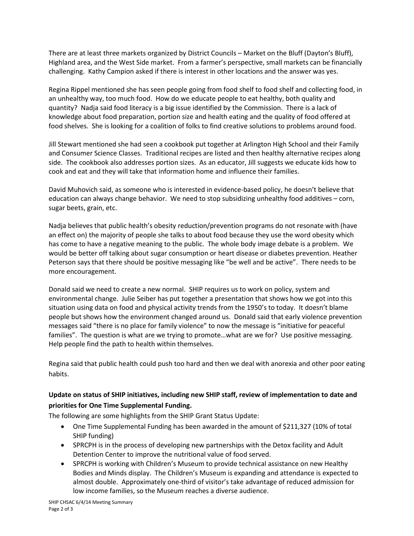There are at least three markets organized by District Councils – Market on the Bluff (Dayton's Bluff), Highland area, and the West Side market. From a farmer's perspective, small markets can be financially challenging. Kathy Campion asked if there is interest in other locations and the answer was yes.

Regina Rippel mentioned she has seen people going from food shelf to food shelf and collecting food, in an unhealthy way, too much food. How do we educate people to eat healthy, both quality and quantity? Nadja said food literacy is a big issue identified by the Commission. There is a lack of knowledge about food preparation, portion size and health eating and the quality of food offered at food shelves. She is looking for a coalition of folks to find creative solutions to problems around food.

Jill Stewart mentioned she had seen a cookbook put together at Arlington High School and their Family and Consumer Science Classes. Traditional recipes are listed and then healthy alternative recipes along side. The cookbook also addresses portion sizes. As an educator, Jill suggests we educate kids how to cook and eat and they will take that information home and influence their families.

David Muhovich said, as someone who is interested in evidence-based policy, he doesn't believe that education can always change behavior. We need to stop subsidizing unhealthy food additives – corn, sugar beets, grain, etc.

Nadja believes that public health's obesity reduction/prevention programs do not resonate with (have an effect on) the majority of people she talks to about food because they use the word obesity which has come to have a negative meaning to the public. The whole body image debate is a problem. We would be better off talking about sugar consumption or heart disease or diabetes prevention. Heather Peterson says that there should be positive messaging like "be well and be active". There needs to be more encouragement.

Donald said we need to create a new normal. SHIP requires us to work on policy, system and environmental change. Julie Seiber has put together a presentation that shows how we got into this situation using data on food and physical activity trends from the 1950's to today. It doesn't blame people but shows how the environment changed around us. Donald said that early violence prevention messages said "there is no place for family violence" to now the message is "initiative for peaceful families". The question is what are we trying to promote…what are we for? Use positive messaging. Help people find the path to health within themselves.

Regina said that public health could push too hard and then we deal with anorexia and other poor eating habits.

## **Update on status of SHIP initiatives, including new SHIP staff, review of implementation to date and priorities for One Time Supplemental Funding.**

The following are some highlights from the SHIP Grant Status Update:

- One Time Supplemental Funding has been awarded in the amount of \$211,327 (10% of total SHIP funding)
- SPRCPH is in the process of developing new partnerships with the Detox facility and Adult Detention Center to improve the nutritional value of food served.
- SPRCPH is working with Children's Museum to provide technical assistance on new Healthy Bodies and Minds display. The Children's Museum is expanding and attendance is expected to almost double. Approximately one-third of visitor's take advantage of reduced admission for low income families, so the Museum reaches a diverse audience.